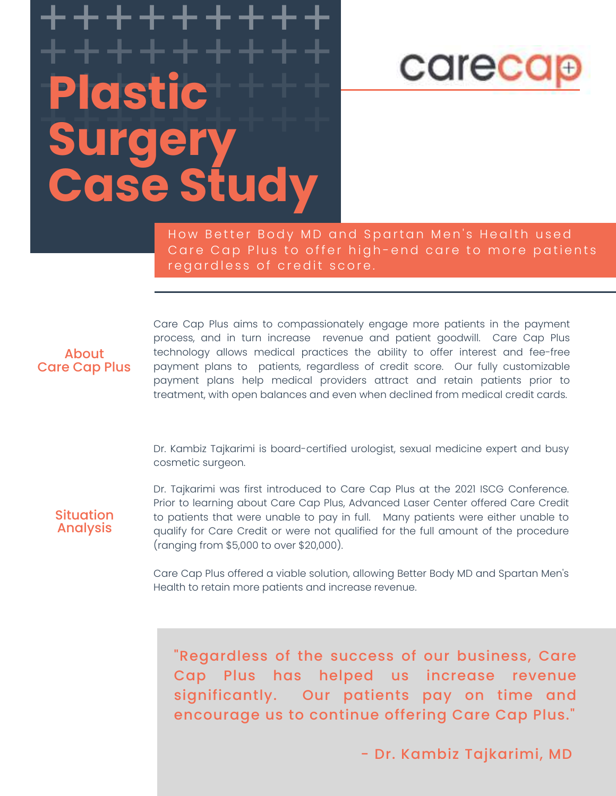## +++++++++ +++++++++ +++++++++ **Plastic**  surgery<sup>+++++</sup> **Surgery Case Study**

+++++++++



How Better Body MD and Spartan Men's Health used Care Cap Plus to offer high-end care to more patients regardless of credit score.

#### About Care Cap Plus

Care Cap Plus aims to compassionately engage more patients in the payment process, and in turn increase revenue and patient goodwill. Care Cap Plus technology allows medical practices the ability to offer interest and fee-free payment plans to patients, regardless of credit score. Our fully customizable payment plans help medical providers attract and retain patients prior to treatment, with open balances and even when declined from medical credit cards.

Dr. Kambiz Tajkarimi is board-certified urologist, sexual medicine expert and busy cosmetic surgeon.

**Situation** Analysis

Dr. Tajkarimi was first introduced to Care Cap Plus at the 2021 ISCG Conference. Prior to learning about Care Cap Plus, Advanced Laser Center offered Care Credit to patients that were unable to pay in full. Many patients were either unable to qualify for Care Credit or were not qualified for the full amount of the procedure (ranging from \$5,000 to over \$20,000).

Care Cap Plus offered a viable solution, allowing Better Body MD and Spartan Men's Health to retain more patients and increase revenue.

"Regardless of the success of our business, Care Cap Plus has helped us increase revenue significantly. Our patients pay on time and encourage us to continue offering Care Cap Plus."

- Dr. Kambiz Tajkarimi, MD